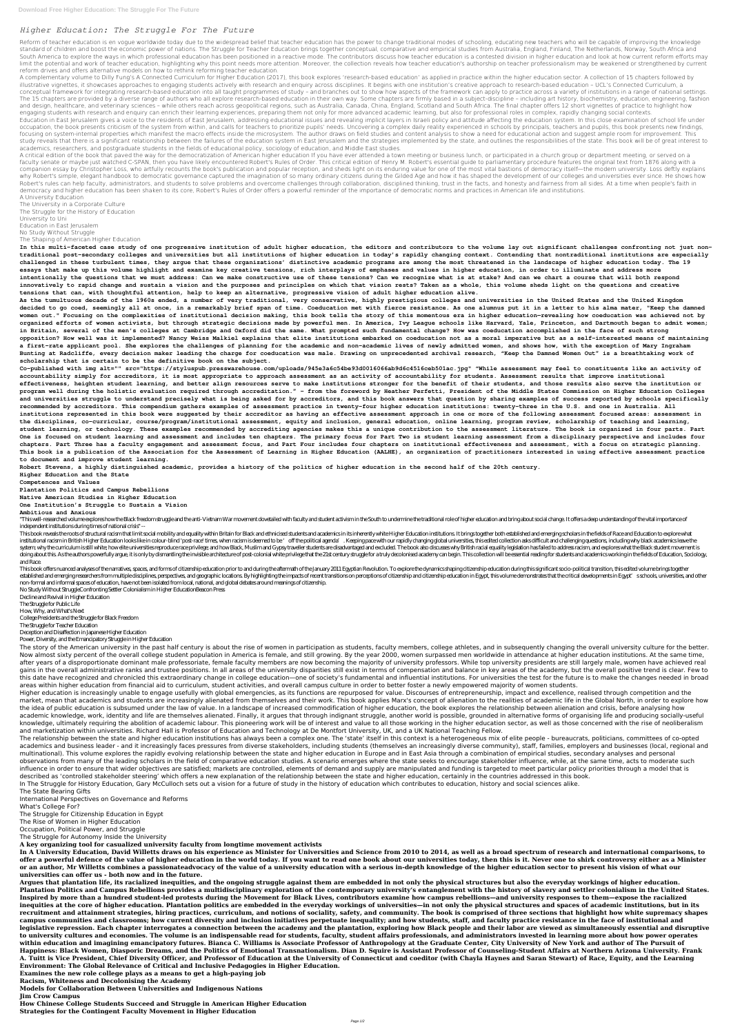## *Higher Education: The Struggle For The Future*

Reform of teacher education is en vogue worldwide today due to the widespread belief that teacher education has the power to change traditional modes of schooling, educating new teachers who will be capable of improving th standard of children and boost the economic power of nations. The Struggle for Teacher Education brings together conceptual, comparative and empirical studies from Australia. England, Finland, The Netherlands, Norway. Sout South America to explore the ways in which professional education has been positioned in a reactive mode. The contributors discuss how teacher education is a contested division in higher education and look at how current r limit the potential and work of teacher education, highlighting why this point needs more attention. Moreover, the collection reveals how teacher education's authorship on teacher professionalism may be weakened or strengt reform drives and offers alternative models on how to rethink reforming teacher education.

A complementary volume to Dilly Fung's A Connected Curriculum for Higher Education (2017), this book explores 'research-based education' as applied in practice within the higher education sector. A collection of 15 chapter illustrative vignettes, it showcases approaches to engaging students actively with research and enguiry across disciplines. It begins with one institution's creative approach to research-based education – UCL's Connected C conceptual framework for integrating research-based education into all taught programmes of study – and branches out to show how aspects of the framework can apply to practice across a variety of institutions in a range of The 15 chapters are provided by a diverse range of authors who all explore research-based education in their own way. Some chapters are firmly based in a subject-discipline – including art history, biochemistry, education, and design, healthcare, and veterinary sciences – while others reach across geopolitical regions, such as Australia, Canada, China, England, Scotland and South Africa. The final chapter offers 12 short vignettes of practic engaging students with research and enquiry can enrich their learning experiences, preparing them not only for more advanced academic learning, but also for professional roles in complex, rapidly changing social contexts. Education in East lerusalem gives a voice to the residents of East lerusalem, addressing educational issues and revealing implicit lavers in Israeli policy and attitude affecting the education system. In this close examina occupation, the book presents criticism of the system from within, and calls for teachers to prioritize pupils' needs. Uncovering a complex daily reality experienced in schools by principals, teachers and pupils, this book focusing on system-internal properties which manifest the macro effects inside the microsystem. The author draws on field studies and content analysis to show a need for educational action and suggest ample room for improv study reveals that there is a significant relationship between the failures of the education system in East Jerusalem and the strategies implemented by the state, and outlines the responsibilities of the state. This book w academics, researchers, and postgraduate students in the fields of educational policy, sociology of education, and Middle East studies.

A critical edition of the book that paved the way for the democratization of American higher education If you have ever attended a town meeting or business lunch, or participated in a church group or department meeting, or faculty senate or maybe just watched C-SPAN, then you have likely encountered Robert's Rules of Order. This critical edition of Henry M. Robert's essential quide to parliamentary procedure features the original text from 1 companion essay by Christopher Loss, who artfully recounts the book's publication and popular reception, and sheds light on its enduring value for one of the most vital bastions of democracy itself—the modern university. L why Robert's simple, elegant handbook to democratic governance captured the imagination of so many ordinary citizens during the Gilded Age and how it has shaped the development of our colleges and universities ever since. Robert's rules can help faculty, administrators, and students to solve problems and overcome challenges through collaboration, disciplined thinking, trust in the facts, and honesty and fairness from all sides. At a time wh democracy and higher education has been shaken to its core, Robert's Rules of Order offers a powerful reminder of the importance of democratic norms and practices in American life and institutions. A University Education

The University in a Corporate Culture The Struggle for the History of Education University to Uni Education in East Jerusalem No Study Without Struggle The Shaping of American Higher Education

"This well-researched volume explores how the Black freedom struggle and the anti-Vietnam War movement dovetailed with faculty and student activism in the South to undermine the traditional role of higher education and bri independent institutions during times of national crisis" --

**In this multi-faceted case study of one progressive institution of adult higher education, the editors and contributors to the volume lay out significant challenges confronting not just nontraditional post-secondary colleges and universities but all institutions of higher education in today's rapidly changing context. Contending that nontraditional institutions are especially challenged in these turbulent times, they argue that these organizations' distinctive academic programs are among the most threatened in the landscape of higher education today. The 19 essays that make up this volume highlight and examine key creative tensions, rich interplays of emphases and values in higher education, in order to illuminate and address more intentionally the questions that we must address: Can we make constructive use of these tensions? Can we recognize what is at stake? And can we chart a course that will both respond innovatively to rapid change and sustain a vision and the purposes and principles on which that vision rests? Taken as a whole, this volume sheds light on the questions and creative tensions that can, with thoughtful attention, help to keep an alternative, progressive vision of adult higher education alive.**

This book reveals the roots of structural racism that limit social mobility and equality within Britain for Black and ethnicised students and academics in its inherently white Higher Education institutions. It brings toget institutional racism in British Higher Education looks like in colour-blind 'post-race' times, when racism is deemed to be ' off the political agenda'. Keeping pace with our rapidly changing global universities, this edite system; why the curriculum is still white; how elite universities reproduce race privilege; and how Black, Muslim and Gypsy traveller students are disadvantaged and excluded. The book also discusses why British racial equa doing about this. As the authors powerfully argue, it is only by dismantling the invisible architecture of post-colonial white privilege that the 21st century struggle for a truly decolonised academy can begin. This collec and Race.

This book offers nuanced analyses of the narratives, spaces, and forms of citizenship education prior to and during the aftermath of the January 2011 Egyptian Revolution. To explore the dynamics shaping citizenship educati established and emerging researchers from multiple disciplines, perspectives, and geographic locations. By highlighting the impacts of recent transitions on perceptions of citizenship and citizenship education in Egypt, th non-formal and informal spaces of education, have not been isolated from local, national, and global debates around meanings of citizenship.

**As the tumultuous decade of the 1960s ended, a number of very traditional, very conservative, highly prestigious colleges and universities in the United States and the United Kingdom decided to go coed, seemingly all at once, in a remarkably brief span of time. Coeducation met with fierce resistance. As one alumnus put it in a letter to his alma mater, "Keep the damned women out." Focusing on the complexities of institutional decision making, this book tells the story of this momentous era in higher education—revealing how coeducation was achieved not by organized efforts of women activists, but through strategic decisions made by powerful men. In America, Ivy League schools like Harvard, Yale, Princeton, and Dartmouth began to admit women; in Britain, several of the men's colleges at Cambridge and Oxford did the same. What prompted such fundamental change? How was coeducation accomplished in the face of such strong opposition? How well was it implemented? Nancy Weiss Malkiel explains that elite institutions embarked on coeducation not as a moral imperative but as a self-interested means of maintaining a first-rate applicant pool. She explores the challenges of planning for the academic and non-academic lives of newly admitted women, and shows how, with the exception of Mary Ingraham Bunting at Radcliffe, every decision maker leading the charge for coeducation was male. Drawing on unprecedented archival research, "Keep the Damned Women Out" is a breathtaking work of scholarship that is certain to be the definitive book on the subject.**

The story of the American university in the past half century is about the rise of women in participation as students, faculty members, college athletes, and in subsequently changing the overall university culture for the Now almost sixty percent of the overall college student population in America is female, and still growing. By the year 2000, women surpassed men worldwide in attendance at higher education institutions. At the same time, after years of a disproportionate dominant male professoriate, female faculty members are now becoming the majority of university professors. While top university presidents are still largely male, women have achieved real gains in the overall administrative ranks and trustee positions. In all areas of the university disparities still exist in terms of compensation and balance in key areas of the academy, but the overall positive trend is cl this date have recognized and chronicled this extraordinary change in college education—one of society's fundamental and influential institutions. For universities the test for the future is to make the changes needed in b areas within higher education from financial aid to curriculum, student activities, and overall campus culture in order to better foster a newly empowered majority of women students.

**Co-published with img alt="" src="https://styluspub.presswarehouse.com/uploads/945e3a6c54be93d0016066ab9d6c4516ceb501ac.jpg" "While assessment may feel to constituents like an activity of accountability simply for accreditors, it is most appropriate to approach assessment as an activity of accountability for students. Assessment results that improve institutional effectiveness, heighten student learning, and better align resources serve to make institutions stronger for the benefit of their students, and those results also serve the institution or program well during the holistic evaluation required through accreditation." – from the foreword by Heather Perfetti, President of the Middle States Commission on Higher Education Colleges and universities struggle to understand precisely what is being asked for by accreditors, and this book answers that question by sharing examples of success reported by schools specifically recommended by accreditors. This compendium gathers examples of assessment practice in twenty-four higher education institutions: twenty-three in the U.S. and one in Australia. All institutions represented in this book were suggested by their accreditor as having an effective assessment approach in one or more of the following assessment focused areas: assessment in the disciplines, co-curricular, course/program/institutional assessment, equity and inclusion, general education, online learning, program review, scholarship of teaching and learning, student learning, or technology. These examples recommended by accrediting agencies makes this a unique contribution to the assessment literature. The book is organized in four parts. Part One is focused on student learning and assessment and includes ten chapters. The primary focus for Part Two is student learning assessment from a disciplinary perspective and includes four chapters. Part Three has a faculty engagement and assessment focus, and Part Four includes four chapters on institutional effectiveness and assessment, with a focus on strategic planning. This book is a publication of the Association for the Assessment of Learning in Higher Education (AALHE), an organization of practitioners interested in using effective assessment practice to document and improve student learning.**

**Robert Stevens, a highly distinguished academic, provides a history of the politics of higher education in the second half of the 20th century.**

**Higher Education and the State**

**Competences and Values**

**Plantation Politics and Campus Rebellions**

**Native American Studies in Higher Education**

**One Institution's Struggle to Sustain a Vision**

## **Ambitious and Anxious**

No Study Without StruggleConfronting Settler Colonialism in Higher EducationBeacon Press

Decline and Revival in Higher Education

The Struggle for Public Life

How, Why, and What's Next

College Presidents and the Struggle for Black Freedom

The Struggle for Teacher Education

Deception and Disaffection in Japanese Higher Education

Power, Diversity, and the Emancipatory Struggle in Higher Education

Higher education is increasingly unable to engage usefully with global emergencies, as its functions are repurposed for value. Discourses of entrepreneurship, impact and excellence, realised through competition and the market, mean that academics and students are increasingly alienated from themselves and their work. This book applies Marx's concept of alienation to the realities of academic life in the Global North, in order to explore the idea of public education is subsumed under the law of value. In a landscape of increased commodification of higher education, the book explores the relationship between alienation and crisis, before analysing how academic knowledge, work, identity and life are themselves alienated. Finally, it argues that through indignant struggle, another world is possible, grounded in alternative forms of organising life and producing socially-u knowledge, ultimately requiring the abolition of academic labour. This pioneering work will be of interest and value to all those working in the higher education sector, as well as those concerned with the rise of neoliber and marketization within universities. Richard Hall is Professor of Education and Technology at De Montfort University, UK, and a UK National Teaching Fellow.

The relationship between the state and higher education institutions has always been a complex one. The 'state' itself in this context is a heterogeneous mix of elite people - bureaucrats, politicians, committees of co-opted academics and business leader - and it increasingly faces pressures from diverse stakeholders, including students (themselves an increasingly diverse community), staff, families, employers and businesses (local, regional and multinational). This volume explores the rapidly evolving relationship between the state and higher education in Europe and in East Asia through a combination of empirical studies, secondary analyses and personal observations from many of the leading scholars in the field of comparative education studies. A scenario emerges where the state seeks to encourage stakeholder influence, while, at the same time, acts to moderate such influence in order to ensure that wider objectives are satisfied; markets are controlled, elements of demand and supply are manipulated and funding is targeted to meet particular policy priorities through a model that is described as 'controlled stakeholder steering' which offers a new explanation of the relationship between the state and higher education, certainly in the countries addressed in this book.

In The Struggle for History Education, Gary McCulloch sets out a vision for a future of study in the history of education which contributes to education, history and social sciences alike.

The State Bearing Gifts

International Perspectives on Governance and Reforms

What's College For?

The Struggle for Citizenship Education in Egypt

The Rise of Women in Higher Education

Occupation, Political Power, and Struggle

The Struggle for Autonomy Inside the University

**A key organizing tool for casualized university faculty from longtime movement activists**

**In A University Education, David Willetts draws on his experience as Minister for Universities and Science from 2010 to 2014, as well as a broad spectrum of research and international comparisons, to offer a powerful defence of the value of higher education in the world today. If you want to read one book about our universities today, then this is it. Never one to shirk controversy either as a Minister or an author, Mr Willetts combines a passionateadvocacy of the value of a university education with a serious in-depth knowledge of the higher education sector to present his vision of what our universities can offer us - both now and in the future.**

**Argues that plantation life, its racialized inequities, and the ongoing struggle against them are embedded in not only the physical structures but also the everyday workings of higher education. Plantation Politics and Campus Rebellions provides a multidisciplinary exploration of the contemporary university's entanglement with the history of slavery and settler colonialism in the United States. Inspired by more than a hundred student-led protests during the Movement for Black Lives, contributors examine how campus rebellions—and university responses to them—expose the racialized inequities at the core of higher education. Plantation politics are embedded in the everyday workings of universities—in not only the physical structures and spaces of academic institutions, but in its recruitment and attainment strategies, hiring practices, curriculum, and notions of sociality, safety, and community. The book is comprised of three sections that highlight how white supremacy shapes campus communities and classrooms; how current diversity and inclusion initiatives perpetuate inequality; and how students, staff, and faculty practice resistance in the face of institutional and** legislative repression. Each chapter interrogates a connection between the academy and the plantation, exploring how Black people and their labor are viewed as simultaneously essential and disruptive to university cultures and economies. The volume is an indispensable read for students, faculty, student affairs professionals, and administrators invested in learning more about how power operates **within education and imagining emancipatory futures. Bianca C. Williams is Associate Professor of Anthropology at the Graduate Center, City University of New York and author of The Pursuit of Happiness: Black Women, Diasporic Dreams, and the Politics of Emotional Transnationalism. Dian D. Squire is Assistant Professor of Counseling-Student Affairs at Northern Arizona University. Frank A. Tuitt is Vice President, Chief Diversity Officer, and Professor of Education at the University of Connecticut and coeditor (with Chayla Haynes and Saran Stewart) of Race, Equity, and the Learning Environment: The Global Relevance of Critical and Inclusive Pedagogies in Higher Education.**

**Examines the new role college plays as a means to get a high-paying job**

**Racism, Whiteness and Decolonising the Academy**

**Models for Collaboration Between Universities and Indigenous Nations**

**Jim Crow Campus**

**How Chinese College Students Succeed and Struggle in American Higher Education Strategies for the Contingent Faculty Movement in Higher Education**